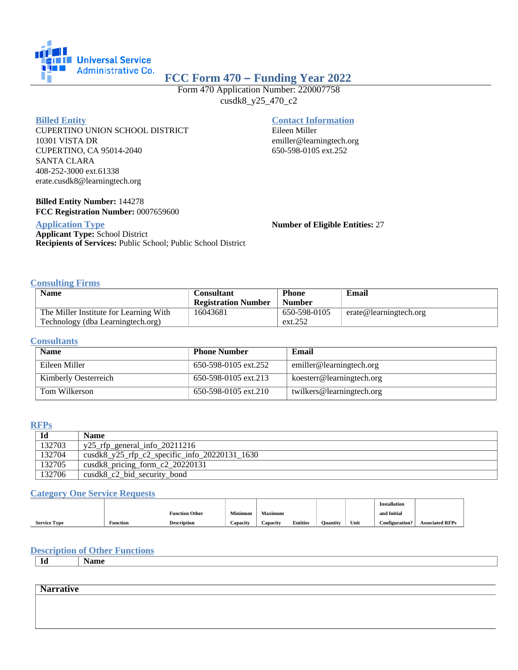

# **FCC Form 470 – Funding Year 2022**

Form 470 Application Number: 220007758 cusdk8\_y25\_470\_c2

#### **Billed Entity**

CUPERTINO UNION SCHOOL DISTRICT 10301 VISTA DR CUPERTINO, CA 95014-2040 SANTA CLARA 408-252-3000 ext.61338 erate.cusdk8@learningtech.org

### **Billed Entity Number:** 144278 **FCC Registration Number:** 0007659600

## **Application Type**

**Applicant Type:** School District **Recipients of Services:** Public School; Public School District

## **Contact Information**

Eileen Miller emiller@learningtech.org 650-598-0105 ext.252

**Number of Eligible Entities:** 27

### **Consulting Firms**

| <b>Name</b>                            | Consultant                 | <b>Phone</b>  | Email                  |
|----------------------------------------|----------------------------|---------------|------------------------|
|                                        | <b>Registration Number</b> | <b>Number</b> |                        |
| The Miller Institute for Learning With | 16043681                   | 650-598-0105  | erate@learningtech.org |
| Technology (dba Learningtech.org)      |                            | ext.252       |                        |

#### **Consultants**

| <b>Name</b>          | <b>Phone Number</b>  | Email                     |
|----------------------|----------------------|---------------------------|
| Eileen Miller        | 650-598-0105 ext.252 | emiller@learningtech.org  |
| Kimberly Oesterreich | 650-598-0105 ext.213 | koesterr@learningtech.org |
| Tom Wilkerson        | 650-598-0105 ext.210 | twilkers@learningtech.org |

## **RFPs**

| Id     | Name                                                           |
|--------|----------------------------------------------------------------|
| 132703 | $y25$ _rfp_general_info_20211216                               |
| 132704 | $\text{cusk8}_y25_{\text{rfp}_c2}$ specific info 20220131 1630 |
| 132705 | cusdk8_pricing_form_c2_20220131                                |
| 132706 | $cusdk8_c2_bid\_security_bond$                                 |

#### **Category One Service Requests**

|                     |                 |                       |          |                |                 |                 |      | <b>Installation</b>   |                        |
|---------------------|-----------------|-----------------------|----------|----------------|-----------------|-----------------|------|-----------------------|------------------------|
|                     |                 | <b>Function Other</b> | Minimum  | <b>Maximum</b> |                 |                 |      | and Initial           |                        |
| <b>Service Type</b> | <b>Function</b> | <b>Description</b>    | Capacity | Capacity       | <b>Entities</b> | <b>Ouantity</b> | Unit | <b>Configuration?</b> | <b>Associated RFPs</b> |

## **Description of Other Functions**

**Id Name**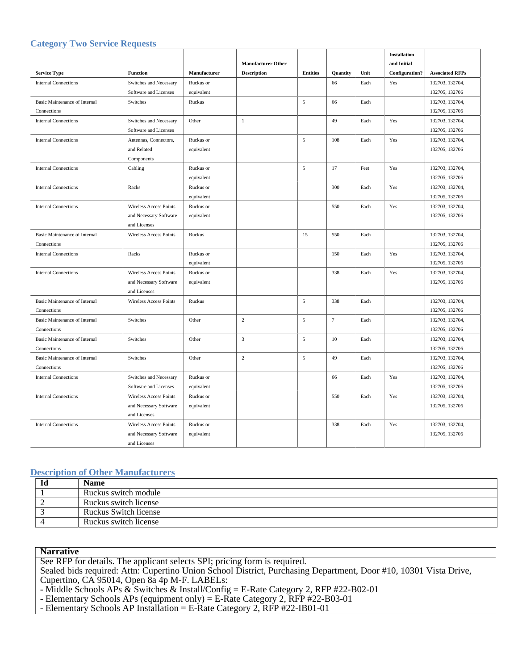## **Category Two Service Requests**

|                                      |                               |              |                           |                 |          |      | <b>Installation</b> |                        |
|--------------------------------------|-------------------------------|--------------|---------------------------|-----------------|----------|------|---------------------|------------------------|
|                                      |                               |              | <b>Manufacturer Other</b> |                 |          |      | and Initial         |                        |
| <b>Service Type</b>                  | <b>Function</b>               | Manufacturer | <b>Description</b>        | <b>Entities</b> | Quantity | Unit | Configuration?      | <b>Associated RFPs</b> |
| <b>Internal Connections</b>          | Switches and Necessary        | Ruckus or    |                           |                 | 66       | Each | Yes                 | 132703, 132704,        |
|                                      | Software and Licenses         | equivalent   |                           |                 |          |      |                     | 132705, 132706         |
| <b>Basic Maintenance of Internal</b> | Switches                      | Ruckus       |                           | 5               | 66       | Each |                     | 132703, 132704,        |
| Connections                          |                               |              |                           |                 |          |      |                     | 132705, 132706         |
| <b>Internal Connections</b>          | Switches and Necessary        | Other        | $\mathbf{1}$              |                 | 49       | Each | Yes                 | 132703, 132704,        |
|                                      | Software and Licenses         |              |                           |                 |          |      |                     | 132705, 132706         |
| <b>Internal Connections</b>          | Antennas, Connectors,         | Ruckus or    |                           | 5               | 108      | Each | Yes                 | 132703, 132704,        |
|                                      | and Related                   | equivalent   |                           |                 |          |      |                     | 132705, 132706         |
|                                      | Components                    |              |                           |                 |          |      |                     |                        |
| <b>Internal Connections</b>          | Cabling                       | Ruckus or    |                           | 5               | 17       | Feet | Yes                 | 132703, 132704,        |
|                                      |                               | equivalent   |                           |                 |          |      |                     | 132705, 132706         |
| <b>Internal Connections</b>          | Racks                         | Ruckus or    |                           |                 | 300      | Each | Yes                 | 132703, 132704,        |
|                                      |                               | equivalent   |                           |                 |          |      |                     | 132705, 132706         |
| <b>Internal Connections</b>          | Wireless Access Points        | Ruckus or    |                           |                 | 550      | Each | Yes                 | 132703, 132704,        |
|                                      | and Necessary Software        | equivalent   |                           |                 |          |      |                     | 132705, 132706         |
|                                      | and Licenses                  |              |                           |                 |          |      |                     |                        |
| <b>Basic Maintenance of Internal</b> | <b>Wireless Access Points</b> | Ruckus       |                           | 15              | 550      | Each |                     | 132703, 132704,        |
| Connections                          |                               |              |                           |                 |          |      |                     | 132705, 132706         |
| <b>Internal Connections</b>          | Racks                         | Ruckus or    |                           |                 | 150      | Each | Yes                 | 132703, 132704,        |
|                                      |                               | equivalent   |                           |                 |          |      |                     | 132705, 132706         |
| <b>Internal Connections</b>          | Wireless Access Points        | Ruckus or    |                           |                 | 338      | Each | Yes                 | 132703, 132704,        |
|                                      | and Necessary Software        | equivalent   |                           |                 |          |      |                     | 132705, 132706         |
|                                      | and Licenses                  |              |                           |                 |          |      |                     |                        |
| <b>Basic Maintenance of Internal</b> | Wireless Access Points        | Ruckus       |                           | $\sqrt{5}$      | 338      | Each |                     | 132703, 132704,        |
| Connections                          |                               |              |                           |                 |          |      |                     | 132705, 132706         |
| Basic Maintenance of Internal        | Switches                      | Other        | $\sqrt{2}$                | 5               | $\tau$   | Each |                     | 132703, 132704,        |
| Connections                          |                               |              |                           |                 |          |      |                     | 132705, 132706         |
| Basic Maintenance of Internal        | Switches                      | Other        | $\overline{3}$            | 5               | 10       | Each |                     | 132703, 132704,        |
| Connections                          |                               |              |                           |                 |          |      |                     | 132705, 132706         |
| <b>Basic Maintenance of Internal</b> | Switches                      | Other        | $\overline{2}$            | $\mathfrak{s}$  | 49       | Each |                     | 132703, 132704,        |
| Connections                          |                               |              |                           |                 |          |      |                     | 132705, 132706         |
| <b>Internal Connections</b>          | Switches and Necessary        | Ruckus or    |                           |                 | 66       | Each | Yes                 | 132703, 132704,        |
|                                      | Software and Licenses         | equivalent   |                           |                 |          |      |                     | 132705, 132706         |
| <b>Internal Connections</b>          | Wireless Access Points        | Ruckus or    |                           |                 | 550      | Each | Yes                 | 132703, 132704,        |
|                                      | and Necessary Software        | equivalent   |                           |                 |          |      |                     | 132705, 132706         |
|                                      | and Licenses                  |              |                           |                 |          |      |                     |                        |
| <b>Internal Connections</b>          | <b>Wireless Access Points</b> | Ruckus or    |                           |                 | 338      | Each | Yes                 | 132703, 132704,        |
|                                      | and Necessary Software        | equivalent   |                           |                 |          |      |                     | 132705, 132706         |
|                                      | and Licenses                  |              |                           |                 |          |      |                     |                        |

## **Description of Other Manufacturers**

| Id | <b>Name</b>           |
|----|-----------------------|
|    | Ruckus switch module  |
|    | Ruckus switch license |
|    | Ruckus Switch license |
|    | Ruckus switch license |

**Narrative**

See RFP for details. The applicant selects SPI; pricing form is required.

Sealed bids required: Attn: Cupertino Union School District, Purchasing Department, Door #10, 10301 Vista Drive, Cupertino, CA 95014, Open 8a 4p M-F. LABELs:

- Middle Schools APs & Switches & Install/Config = E-Rate Category 2, RFP #22-B02-01

- Elementary Schools APs (equipment only) = E-Rate Category 2, RFP #22-B03-01

- Elementary Schools AP Installation = E-Rate Category 2,  $\overrightarrow{RFP}$  #22-IB01-01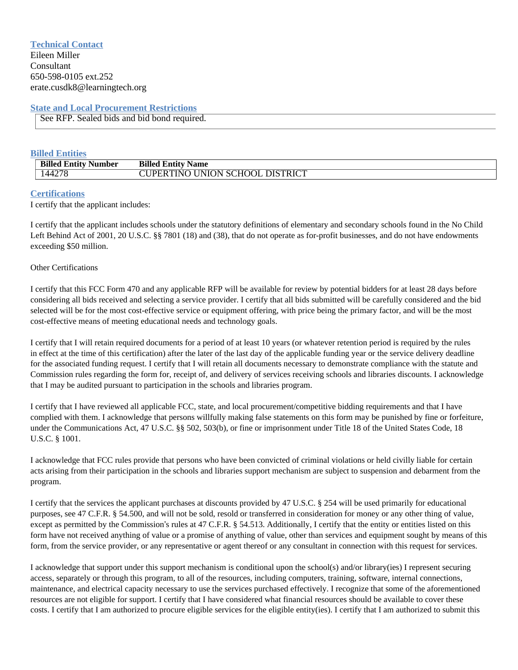## **Technical Contact** Eileen Miller Consultant 650-598-0105 ext.252 erate.cusdk8@learningtech.org

## **State and Local Procurement Restrictions**

See RFP. Sealed bids and bid bond required.

## **Billed Entities**

| <b>Billed Entity Number</b> | <b>Billed Entity Name</b>              |
|-----------------------------|----------------------------------------|
| 144278                      | <b>CUPERTINO UNION SCHOOL DISTRICT</b> |

## **Certifications**

I certify that the applicant includes:

I certify that the applicant includes schools under the statutory definitions of elementary and secondary schools found in the No Child Left Behind Act of 2001, 20 U.S.C. §§ 7801 (18) and (38), that do not operate as for-profit businesses, and do not have endowments exceeding \$50 million.

### Other Certifications

I certify that this FCC Form 470 and any applicable RFP will be available for review by potential bidders for at least 28 days before considering all bids received and selecting a service provider. I certify that all bids submitted will be carefully considered and the bid selected will be for the most cost-effective service or equipment offering, with price being the primary factor, and will be the most cost-effective means of meeting educational needs and technology goals.

I certify that I will retain required documents for a period of at least 10 years (or whatever retention period is required by the rules in effect at the time of this certification) after the later of the last day of the applicable funding year or the service delivery deadline for the associated funding request. I certify that I will retain all documents necessary to demonstrate compliance with the statute and Commission rules regarding the form for, receipt of, and delivery of services receiving schools and libraries discounts. I acknowledge that I may be audited pursuant to participation in the schools and libraries program.

I certify that I have reviewed all applicable FCC, state, and local procurement/competitive bidding requirements and that I have complied with them. I acknowledge that persons willfully making false statements on this form may be punished by fine or forfeiture, under the Communications Act, 47 U.S.C. §§ 502, 503(b), or fine or imprisonment under Title 18 of the United States Code, 18 U.S.C. § 1001.

I acknowledge that FCC rules provide that persons who have been convicted of criminal violations or held civilly liable for certain acts arising from their participation in the schools and libraries support mechanism are subject to suspension and debarment from the program.

I certify that the services the applicant purchases at discounts provided by 47 U.S.C. § 254 will be used primarily for educational purposes, see 47 C.F.R. § 54.500, and will not be sold, resold or transferred in consideration for money or any other thing of value, except as permitted by the Commission's rules at 47 C.F.R. § 54.513. Additionally, I certify that the entity or entities listed on this form have not received anything of value or a promise of anything of value, other than services and equipment sought by means of this form, from the service provider, or any representative or agent thereof or any consultant in connection with this request for services.

I acknowledge that support under this support mechanism is conditional upon the school(s) and/or library(ies) I represent securing access, separately or through this program, to all of the resources, including computers, training, software, internal connections, maintenance, and electrical capacity necessary to use the services purchased effectively. I recognize that some of the aforementioned resources are not eligible for support. I certify that I have considered what financial resources should be available to cover these costs. I certify that I am authorized to procure eligible services for the eligible entity(ies). I certify that I am authorized to submit this